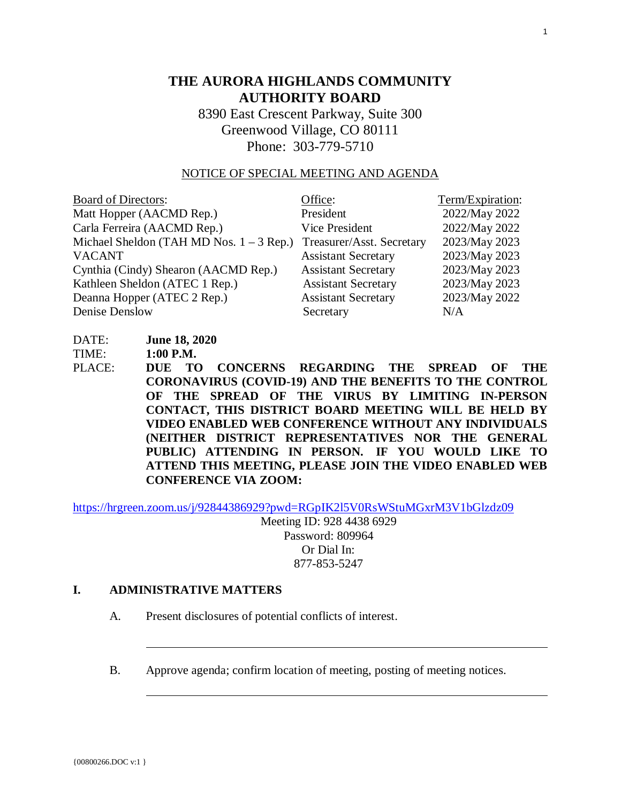# **THE AURORA HIGHLANDS COMMUNITY AUTHORITY BOARD**

8390 East Crescent Parkway, Suite 300 Greenwood Village, CO 80111 Phone: 303-779-5710

#### NOTICE OF SPECIAL MEETING AND AGENDA

| <b>Board of Directors:</b>                 | Office:                    | Term/Expiration: |
|--------------------------------------------|----------------------------|------------------|
| Matt Hopper (AACMD Rep.)                   | President                  | 2022/May 2022    |
| Carla Ferreira (AACMD Rep.)                | Vice President             | 2022/May 2022    |
| Michael Sheldon (TAH MD Nos. $1 - 3$ Rep.) | Treasurer/Asst. Secretary  | 2023/May 2023    |
| <b>VACANT</b>                              | <b>Assistant Secretary</b> | 2023/May 2023    |
| Cynthia (Cindy) Shearon (AACMD Rep.)       | <b>Assistant Secretary</b> | 2023/May 2023    |
| Kathleen Sheldon (ATEC 1 Rep.)             | <b>Assistant Secretary</b> | 2023/May 2023    |
| Deanna Hopper (ATEC 2 Rep.)                | <b>Assistant Secretary</b> | 2023/May 2022    |
| Denise Denslow                             | Secretary                  | N/A              |

DATE: **June 18, 2020**

TIME: **1:00 P.M.**

PLACE: **DUE TO CONCERNS REGARDING THE SPREAD OF THE CORONAVIRUS (COVID-19) AND THE BENEFITS TO THE CONTROL OF THE SPREAD OF THE VIRUS BY LIMITING IN-PERSON CONTACT, THIS DISTRICT BOARD MEETING WILL BE HELD BY VIDEO ENABLED WEB CONFERENCE WITHOUT ANY INDIVIDUALS (NEITHER DISTRICT REPRESENTATIVES NOR THE GENERAL PUBLIC) ATTENDING IN PERSON. IF YOU WOULD LIKE TO ATTEND THIS MEETING, PLEASE JOIN THE VIDEO ENABLED WEB CONFERENCE VIA ZOOM:** 

[https://hrgreen.zoom.us/j/92844386929?pwd=RGpIK2l5V0RsWStuMGxrM3V1bGlzdz09](https://protect-us.mimecast.com/s/btxTC73Wr9tMR4PpcBiTBB)

Meeting ID: 928 4438 6929 Password: 809964 Or Dial In: 877-853-5247

#### **I. ADMINISTRATIVE MATTERS**

- A. Present disclosures of potential conflicts of interest.
- B. Approve agenda; confirm location of meeting, posting of meeting notices.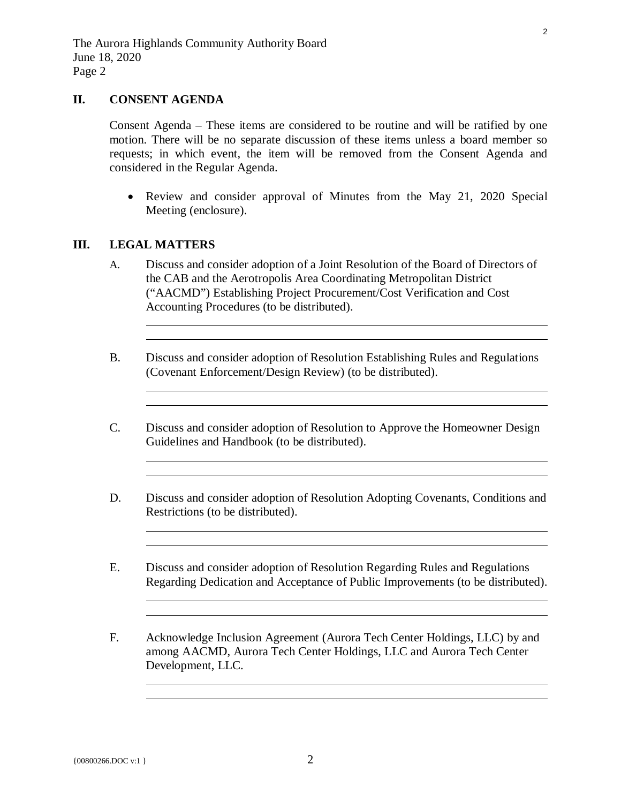### **II. CONSENT AGENDA**

Consent Agenda – These items are considered to be routine and will be ratified by one motion. There will be no separate discussion of these items unless a board member so requests; in which event, the item will be removed from the Consent Agenda and considered in the Regular Agenda.

• Review and consider approval of Minutes from the May 21, 2020 Special Meeting (enclosure).

#### **III. LEGAL MATTERS**

L

 $\overline{a}$ 

 $\overline{a}$ 

 $\overline{a}$ 

 $\overline{a}$ 

 $\overline{a}$ 

- A. Discuss and consider adoption of a Joint Resolution of the Board of Directors of the CAB and the Aerotropolis Area Coordinating Metropolitan District ("AACMD") Establishing Project Procurement/Cost Verification and Cost Accounting Procedures (to be distributed).
- B. Discuss and consider adoption of Resolution Establishing Rules and Regulations (Covenant Enforcement/Design Review) (to be distributed).
- C. Discuss and consider adoption of Resolution to Approve the Homeowner Design Guidelines and Handbook (to be distributed).
- D. Discuss and consider adoption of Resolution Adopting Covenants, Conditions and Restrictions (to be distributed).
- E. Discuss and consider adoption of Resolution Regarding Rules and Regulations Regarding Dedication and Acceptance of Public Improvements (to be distributed).
- F. Acknowledge Inclusion Agreement (Aurora Tech Center Holdings, LLC) by and among AACMD, Aurora Tech Center Holdings, LLC and Aurora Tech Center Development, LLC.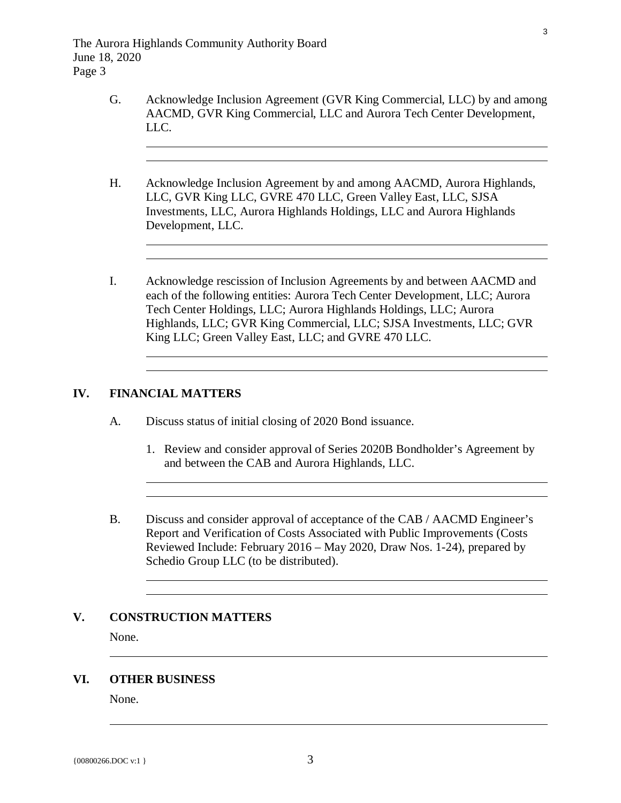- G. Acknowledge Inclusion Agreement (GVR King Commercial, LLC) by and among AACMD, GVR King Commercial, LLC and Aurora Tech Center Development, LLC.
- H. Acknowledge Inclusion Agreement by and among AACMD, Aurora Highlands, LLC, GVR King LLC, GVRE 470 LLC, Green Valley East, LLC, SJSA Investments, LLC, Aurora Highlands Holdings, LLC and Aurora Highlands Development, LLC.
- I. Acknowledge rescission of Inclusion Agreements by and between AACMD and each of the following entities: Aurora Tech Center Development, LLC; Aurora Tech Center Holdings, LLC; Aurora Highlands Holdings, LLC; Aurora Highlands, LLC; GVR King Commercial, LLC; SJSA Investments, LLC; GVR King LLC; Green Valley East, LLC; and GVRE 470 LLC.

#### **IV. FINANCIAL MATTERS**

 $\overline{a}$ 

 $\overline{a}$ 

 $\overline{a}$ 

 $\overline{a}$ 

 $\overline{a}$ 

- A. Discuss status of initial closing of 2020 Bond issuance.
	- 1. Review and consider approval of Series 2020B Bondholder's Agreement by and between the CAB and Aurora Highlands, LLC.
- B. Discuss and consider approval of acceptance of the CAB / AACMD Engineer's Report and Verification of Costs Associated with Public Improvements (Costs Reviewed Include: February 2016 – May 2020, Draw Nos. 1-24), prepared by Schedio Group LLC (to be distributed).

### **V. CONSTRUCTION MATTERS**

None.

 $\overline{a}$ 

#### **VI. OTHER BUSINESS**

None.

 $\overline{a}$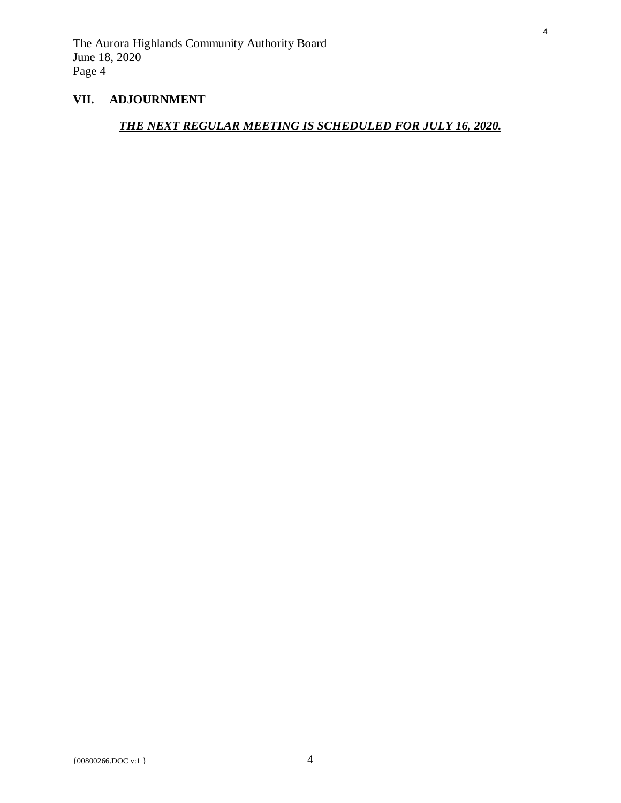## **VII. ADJOURNMENT**

# *THE NEXT REGULAR MEETING IS SCHEDULED FOR JULY 16, 2020.*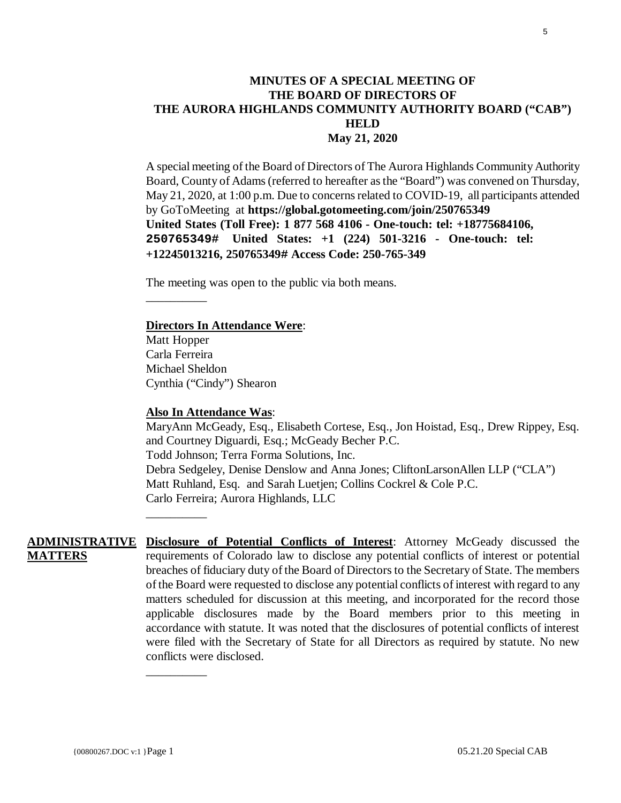## <span id="page-4-0"></span>**MINUTES OF A SPECIAL MEETING OF THE BOARD OF DIRECTORS OF THE AURORA HIGHLANDS COMMUNITY AUTHORITY BOARD ("CAB") HELD May 21, 2020**

A special meeting of the Board of Directors of The Aurora Highlands Community Authority Board, County of Adams(referred to hereafter as the "Board") was convened on Thursday, May 21, 2020, at 1:00 p.m. Due to concerns related to COVID-19, all participants attended by GoToMeeting at **https://global.gotomeeting.com/join/250765349 United States (Toll Free): 1 877 568 4106 - One-touch: tel: +18775684106, 250765349# United States: +1 (224) 501-3216 - One-touch: tel: +12245013216, 250765349# Access Code: 250-765-349** 

The meeting was open to the public via both means.

#### **Directors In Attendance Were**:

Matt Hopper Carla Ferreira Michael Sheldon Cynthia ("Cindy") Shearon

\_\_\_\_\_\_\_\_\_\_

\_\_\_\_\_\_\_\_\_\_

\_\_\_\_\_\_\_\_\_\_

#### **Also In Attendance Was**:

MaryAnn McGeady, Esq., Elisabeth Cortese, Esq., Jon Hoistad, Esq., Drew Rippey, Esq. and Courtney Diguardi, Esq.; McGeady Becher P.C. Todd Johnson; Terra Forma Solutions, Inc. Debra Sedgeley, Denise Denslow and Anna Jones; CliftonLarsonAllen LLP ("CLA") Matt Ruhland, Esq. and Sarah Luetjen; Collins Cockrel & Cole P.C. Carlo Ferreira; Aurora Highlands, LLC

**ADMINISTRATIVE Disclosure of Potential Conflicts of Interest**: Attorney McGeady discussed the **MATTERS** requirements of Colorado law to disclose any potential conflicts of interest or potential breaches of fiduciary duty of the Board of Directors to the Secretary of State. The members of the Board were requested to disclose any potential conflicts of interest with regard to any matters scheduled for discussion at this meeting, and incorporated for the record those applicable disclosures made by the Board members prior to this meeting in accordance with statute. It was noted that the disclosures of potential conflicts of interest were filed with the Secretary of State for all Directors as required by statute. No new conflicts were disclosed.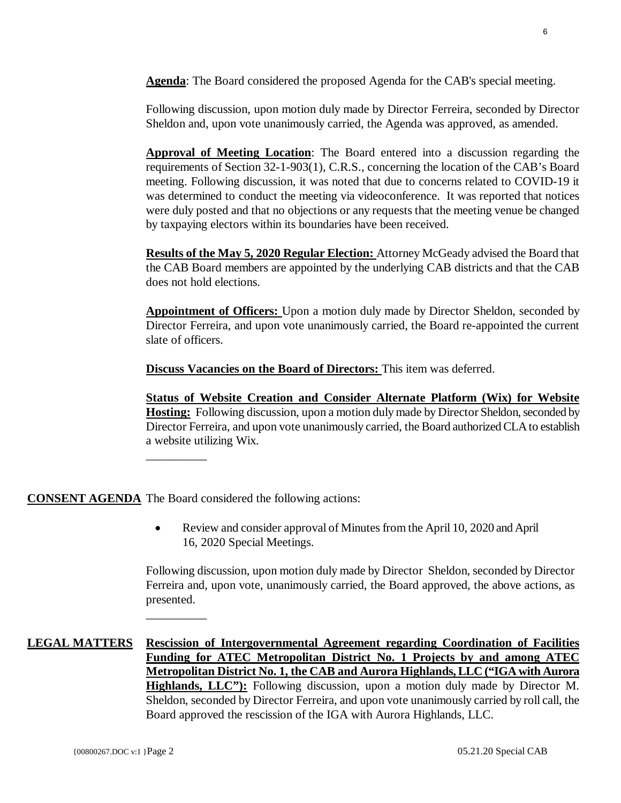**Agenda**: The Board considered the proposed Agenda for the CAB's special meeting.

Following discussion, upon motion duly made by Director Ferreira, seconded by Director Sheldon and, upon vote unanimously carried, the Agenda was approved, as amended.

**Approval of Meeting Location**: The Board entered into a discussion regarding the requirements of Section 32-1-903(1), C.R.S., concerning the location of the CAB's Board meeting. Following discussion, it was noted that due to concerns related to COVID-19 it was determined to conduct the meeting via videoconference. It was reported that notices were duly posted and that no objections or any requests that the meeting venue be changed by taxpaying electors within its boundaries have been received.

**Results of the May 5, 2020 Regular Election:** Attorney McGeady advised the Board that the CAB Board members are appointed by the underlying CAB districts and that the CAB does not hold elections.

**Appointment of Officers:** Upon a motion duly made by Director Sheldon, seconded by Director Ferreira, and upon vote unanimously carried, the Board re-appointed the current slate of officers.

**Discuss Vacancies on the Board of Directors:** This item was deferred.

**Status of Website Creation and Consider Alternate Platform (Wix) for Website Hosting:** Following discussion, upon a motion duly made by Director Sheldon, seconded by Director Ferreira, and upon vote unanimously carried, the Board authorized CLA to establish a website utilizing Wix.

**CONSENT AGENDA** The Board considered the following actions:

\_\_\_\_\_\_\_\_\_\_

\_\_\_\_\_\_\_\_\_\_

• Review and consider approval of Minutes from the April 10, 2020 and April 16, 2020 Special Meetings.

Following discussion, upon motion duly made by Director Sheldon, seconded by Director Ferreira and, upon vote, unanimously carried, the Board approved, the above actions, as presented.

**LEGAL MATTERS Rescission of Intergovernmental Agreement regarding Coordination of Facilities Funding for ATEC Metropolitan District No. 1 Projects by and among ATEC Metropolitan District No. 1, the CAB and Aurora Highlands, LLC ("IGA with Aurora Highlands, LLC"):** Following discussion, upon a motion duly made by Director M. Sheldon, seconded by Director Ferreira, and upon vote unanimously carried by roll call, the Board approved the rescission of the IGA with Aurora Highlands, LLC.